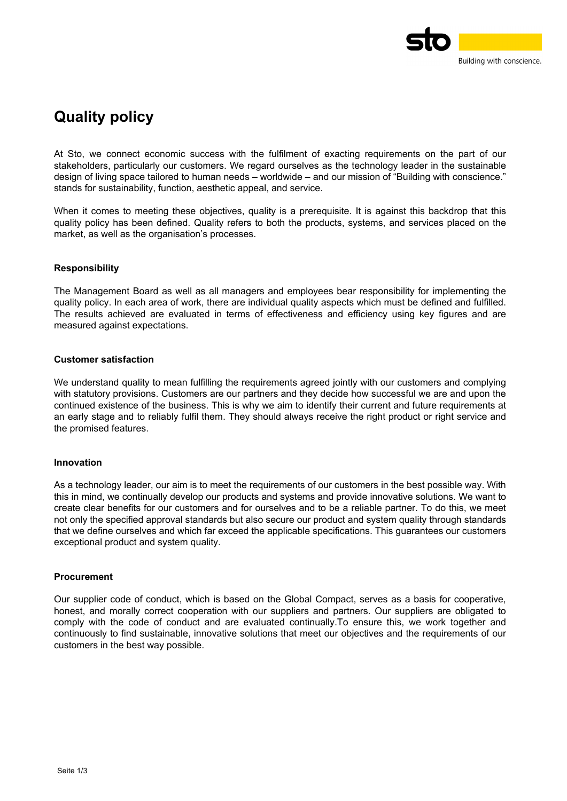

# **Quality policy**

At Sto, we connect economic success with the fulfilment of exacting requirements on the part of our stakeholders, particularly our customers. We regard ourselves as the technology leader in the sustainable design of living space tailored to human needs – worldwide – and our mission of "Building with conscience." stands for sustainability, function, aesthetic appeal, and service.

When it comes to meeting these objectives, quality is a prerequisite. It is against this backdrop that this quality policy has been defined. Quality refers to both the products, systems, and services placed on the market, as well as the organisation's processes.

# **Responsibility**

The Management Board as well as all managers and employees bear responsibility for implementing the quality policy. In each area of work, there are individual quality aspects which must be defined and fulfilled. The results achieved are evaluated in terms of effectiveness and efficiency using key figures and are measured against expectations.

# **Customer satisfaction**

We understand quality to mean fulfilling the requirements agreed jointly with our customers and complying with statutory provisions. Customers are our partners and they decide how successful we are and upon the continued existence of the business. This is why we aim to identify their current and future requirements at an early stage and to reliably fulfil them. They should always receive the right product or right service and the promised features.

## **Innovation**

As a technology leader, our aim is to meet the requirements of our customers in the best possible way. With this in mind, we continually develop our products and systems and provide innovative solutions. We want to create clear benefits for our customers and for ourselves and to be a reliable partner. To do this, we meet not only the specified approval standards but also secure our product and system quality through standards that we define ourselves and which far exceed the applicable specifications. This guarantees our customers exceptional product and system quality.

## **Procurement**

Our supplier code of conduct, which is based on the Global Compact, serves as a basis for cooperative, honest, and morally correct cooperation with our suppliers and partners. Our suppliers are obligated to comply with the code of conduct and are evaluated continually.To ensure this, we work together and continuously to find sustainable, innovative solutions that meet our objectives and the requirements of our customers in the best way possible.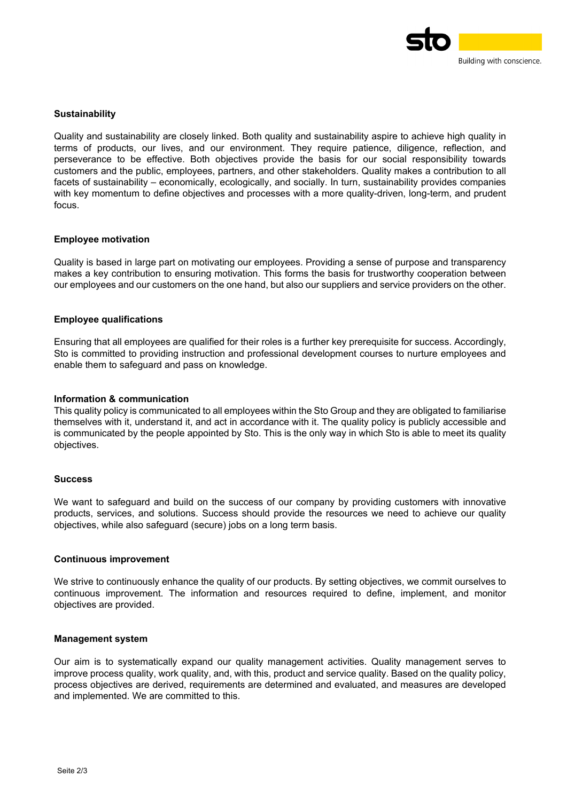

## **Sustainability**

Quality and sustainability are closely linked. Both quality and sustainability aspire to achieve high quality in terms of products, our lives, and our environment. They require patience, diligence, reflection, and perseverance to be effective. Both objectives provide the basis for our social responsibility towards customers and the public, employees, partners, and other stakeholders. Quality makes a contribution to all facets of sustainability – economically, ecologically, and socially. In turn, sustainability provides companies with key momentum to define objectives and processes with a more quality-driven, long-term, and prudent focus.

#### **Employee motivation**

Quality is based in large part on motivating our employees. Providing a sense of purpose and transparency makes a key contribution to ensuring motivation. This forms the basis for trustworthy cooperation between our employees and our customers on the one hand, but also our suppliers and service providers on the other.

#### **Employee qualifications**

Ensuring that all employees are qualified for their roles is a further key prerequisite for success. Accordingly, Sto is committed to providing instruction and professional development courses to nurture employees and enable them to safeguard and pass on knowledge.

#### **Information & communication**

This quality policy is communicated to all employees within the Sto Group and they are obligated to familiarise themselves with it, understand it, and act in accordance with it. The quality policy is publicly accessible and is communicated by the people appointed by Sto. This is the only way in which Sto is able to meet its quality objectives.

#### **Success**

We want to safeguard and build on the success of our company by providing customers with innovative products, services, and solutions. Success should provide the resources we need to achieve our quality objectives, while also safeguard (secure) jobs on a long term basis.

#### **Continuous improvement**

We strive to continuously enhance the quality of our products. By setting objectives, we commit ourselves to continuous improvement. The information and resources required to define, implement, and monitor objectives are provided.

#### **Management system**

Our aim is to systematically expand our quality management activities. Quality management serves to improve process quality, work quality, and, with this, product and service quality. Based on the quality policy, process objectives are derived, requirements are determined and evaluated, and measures are developed and implemented. We are committed to this.